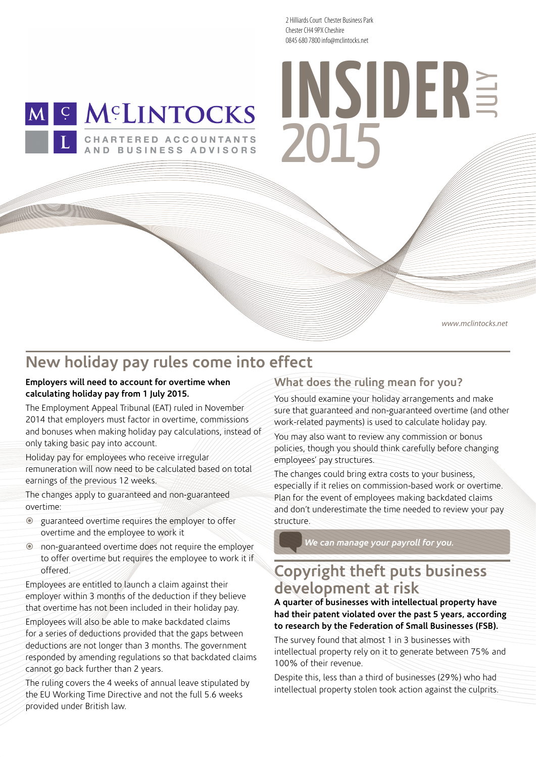2 Hilliards Court Chester Business Park Chester CH4 9PX Cheshire 0845 680 7800 info@mclintocks.net



AND BUSINESS ADVISORS

# **2012** 0845 680 /800 into@mclintocks.net 2015

www.mclintocks.net

## **New holiday pay rules come into effect**

#### **Employers will need to account for overtime when calculating holiday pay from 1 July 2015.**

The Employment Appeal Tribunal (EAT) ruled in November 2014 that employers must factor in overtime, commissions and bonuses when making holiday pay calculations, instead of only taking basic pay into account.

Holiday pay for employees who receive irregular remuneration will now need to be calculated based on total earnings of the previous 12 weeks.

The changes apply to guaranteed and non-guaranteed overtime:

- guaranteed overtime requires the employer to offer overtime and the employee to work it
- non-guaranteed overtime does not require the employer to offer overtime but requires the employee to work it if offered.

Employees are entitled to launch a claim against their employer within 3 months of the deduction if they believe that overtime has not been included in their holiday pay.

Employees will also be able to make backdated claims for a series of deductions provided that the gaps between deductions are not longer than 3 months. The government responded by amending regulations so that backdated claims cannot go back further than 2 years.

The ruling covers the 4 weeks of annual leave stipulated by the EU Working Time Directive and not the full 5.6 weeks provided under British law.

#### **What does the ruling mean for you?**

You should examine your holiday arrangements and make sure that guaranteed and non-guaranteed overtime (and other work-related payments) is used to calculate holiday pay.

You may also want to review any commission or bonus policies, though you should think carefully before changing employees' pay structures.

The changes could bring extra costs to your business, especially if it relies on commission-based work or overtime. Plan for the event of employees making backdated claims and don't underestimate the time needed to review your pay structure.

*We can manage your payroll for you.*

## **Copyright theft puts business development at risk**

**A quarter of businesses with intellectual property have had their patent violated over the past 5 years, according to research by the Federation of Small Businesses (FSB).**

The survey found that almost 1 in 3 businesses with intellectual property rely on it to generate between 75% and 100% of their revenue.

Despite this, less than a third of businesses (29%) who had intellectual property stolen took action against the culprits.